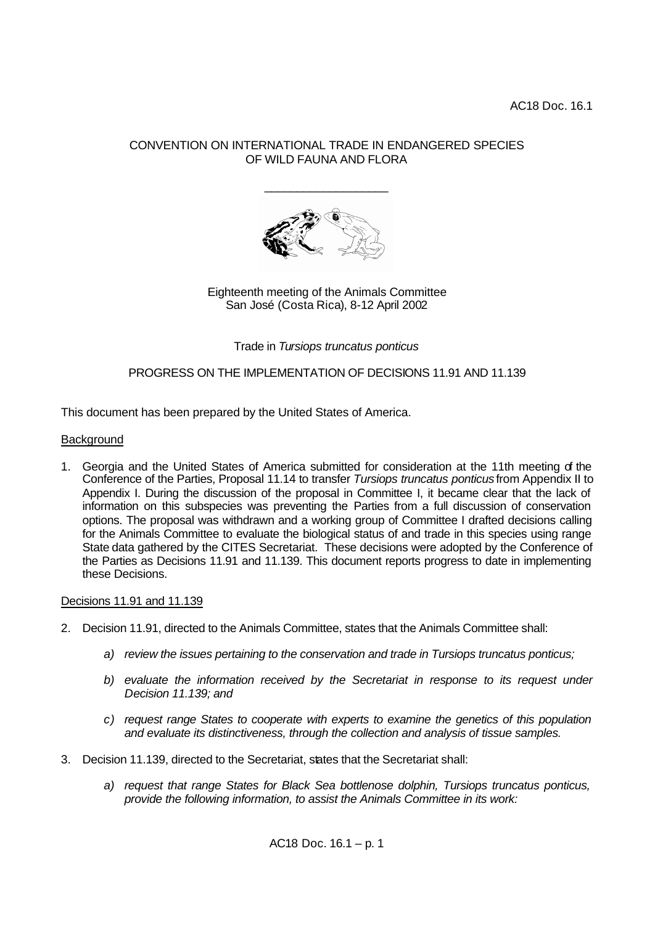# CONVENTION ON INTERNATIONAL TRADE IN ENDANGERED SPECIES OF WILD FAUNA AND FLORA

\_\_\_\_\_\_\_\_\_\_\_\_\_\_\_\_\_\_\_



Eighteenth meeting of the Animals Committee San José (Costa Rica), 8-12 April 2002

Trade in *Tursiops truncatus ponticus*

# PROGRESS ON THE IMPLEMENTATION OF DECISIONS 11.91 AND 11.139

This document has been prepared by the United States of America.

## **Background**

1. Georgia and the United States of America submitted for consideration at the 11th meeting of the Conference of the Parties, Proposal 11.14 to transfer *Tursiops truncatus ponticus* from Appendix II to Appendix I. During the discussion of the proposal in Committee I, it became clear that the lack of information on this subspecies was preventing the Parties from a full discussion of conservation options. The proposal was withdrawn and a working group of Committee I drafted decisions calling for the Animals Committee to evaluate the biological status of and trade in this species using range State data gathered by the CITES Secretariat. These decisions were adopted by the Conference of the Parties as Decisions 11.91 and 11.139. This document reports progress to date in implementing these Decisions.

## Decisions 11.91 and 11.139

- 2. Decision 11.91, directed to the Animals Committee, states that the Animals Committee shall:
	- *a) review the issues pertaining to the conservation and trade in Tursiops truncatus ponticus;*
	- *b) evaluate the information received by the Secretariat in response to its request under Decision 11.139; and*
	- *c) request range States to cooperate with experts to examine the genetics of this population and evaluate its distinctiveness, through the collection and analysis of tissue samples.*
- 3. Decision 11.139, directed to the Secretariat, states that the Secretariat shall:
	- *a) request that range States for Black Sea bottlenose dolphin, Tursiops truncatus ponticus, provide the following information, to assist the Animals Committee in its work:*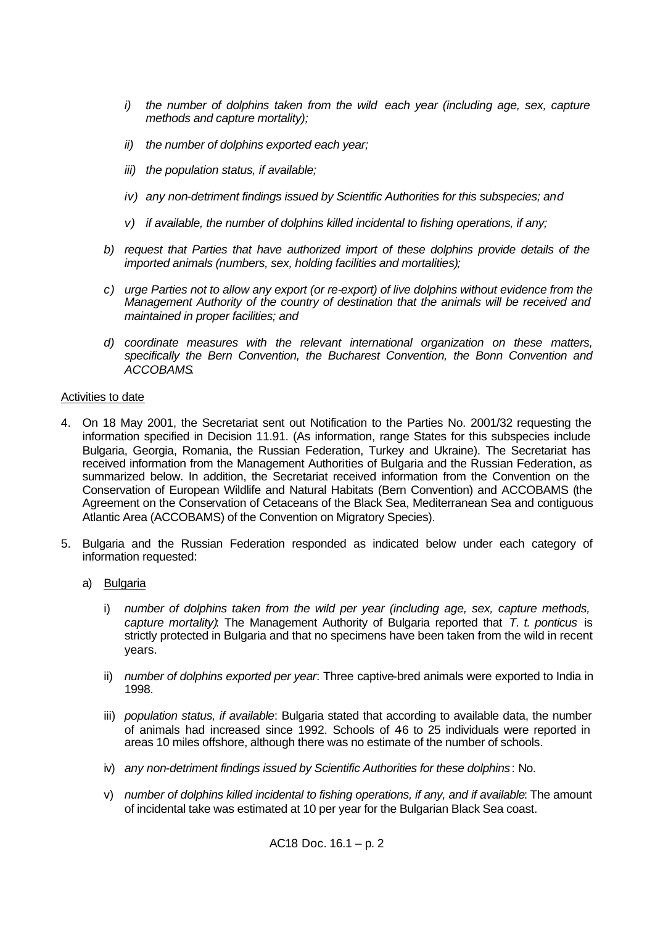- *i*) the number of dolphins taken from the wild each year (including age, sex, capture *methods and capture mortality);*
- *ii) the number of dolphins exported each year;*
- *iii) the population status, if available;*
- *iv) any non-detriment findings issued by Scientific Authorities for this subspecies; and*
- *v) if available, the number of dolphins killed incidental to fishing operations, if any;*
- *b) request that Parties that have authorized import of these dolphins provide details of the imported animals (numbers, sex, holding facilities and mortalities);*
- *c) urge Parties not to allow any export (or re-export) of live dolphins without evidence from the Management Authority of the country of destination that the animals will be received and maintained in proper facilities; and*
- *d) coordinate measures with the relevant international organization on these matters, specifically the Bern Convention, the Bucharest Convention, the Bonn Convention and ACCOBAMS.*

## Activities to date

- 4. On 18 May 2001, the Secretariat sent out Notification to the Parties No. 2001/32 requesting the information specified in Decision 11.91. (As information, range States for this subspecies include Bulgaria, Georgia, Romania, the Russian Federation, Turkey and Ukraine). The Secretariat has received information from the Management Authorities of Bulgaria and the Russian Federation, as summarized below. In addition, the Secretariat received information from the Convention on the Conservation of European Wildlife and Natural Habitats (Bern Convention) and ACCOBAMS (the Agreement on the Conservation of Cetaceans of the Black Sea, Mediterranean Sea and contiguous Atlantic Area (ACCOBAMS) of the Convention on Migratory Species).
- 5. Bulgaria and the Russian Federation responded as indicated below under each category of information requested:
	- a) Bulgaria
		- i) *number of dolphins taken from the wild per year (including age, sex, capture methods, capture mortality)*: The Management Authority of Bulgaria reported that *T. t. ponticus* is strictly protected in Bulgaria and that no specimens have been taken from the wild in recent years.
		- ii) *number of dolphins exported per year*: Three captive-bred animals were exported to India in 1998.
		- iii) *population status, if available*: Bulgaria stated that according to available data, the number of animals had increased since 1992. Schools of 46 to 25 individuals were reported in areas 10 miles offshore, although there was no estimate of the number of schools.
		- iv) *any non-detriment findings issued by Scientific Authorities for these dolphins*: No.
		- v) *number of dolphins killed incidental to fishing operations, if any, and if available*: The amount of incidental take was estimated at 10 per year for the Bulgarian Black Sea coast.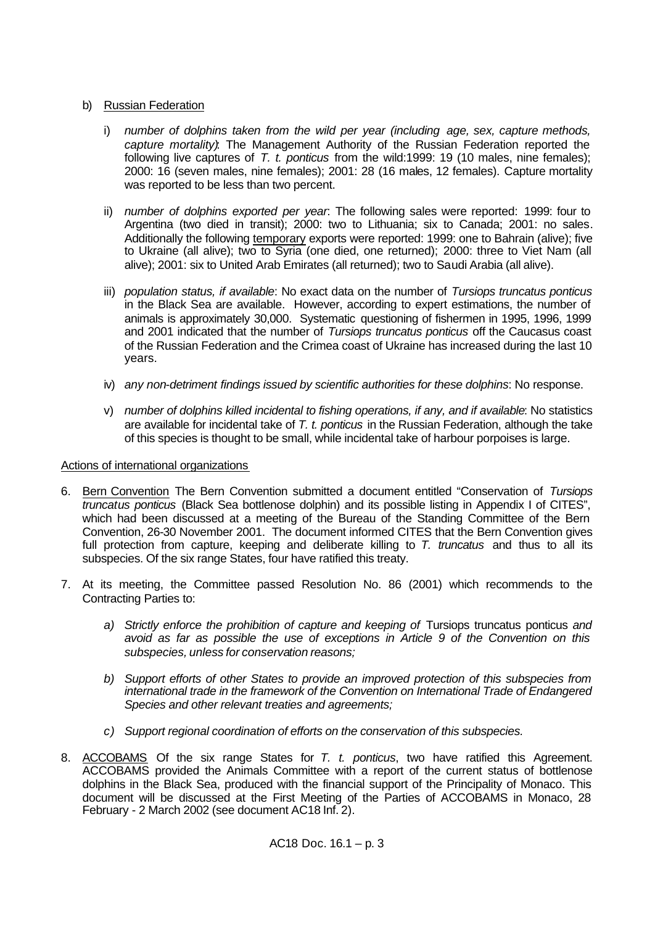# b) Russian Federation

- i) *number of dolphins taken from the wild per year (including age, sex, capture methods, capture mortality)*: The Management Authority of the Russian Federation reported the following live captures of *T. t. ponticus* from the wild:1999: 19 (10 males, nine females); 2000: 16 (seven males, nine females); 2001: 28 (16 males, 12 females). Capture mortality was reported to be less than two percent.
- ii) *number of dolphins exported per year*: The following sales were reported: 1999: four to Argentina (two died in transit); 2000: two to Lithuania; six to Canada; 2001: no sales. Additionally the following temporary exports were reported: 1999: one to Bahrain (alive); five to Ukraine (all alive); two to Syria (one died, one returned); 2000: three to Viet Nam (all alive); 2001: six to United Arab Emirates (all returned); two to Saudi Arabia (all alive).
- iii) *population status, if available*: No exact data on the number of *Tursiops truncatus ponticus*  in the Black Sea are available. However, according to expert estimations, the number of animals is approximately 30,000. Systematic questioning of fishermen in 1995, 1996, 1999 and 2001 indicated that the number of *Tursiops truncatus ponticus* off the Caucasus coast of the Russian Federation and the Crimea coast of Ukraine has increased during the last 10 years.
- iv) *any non-detriment findings issued by scientific authorities for these dolphins*: No response.
- v) *number of dolphins killed incidental to fishing operations, if any, and if available*: No statistics are available for incidental take of *T. t. ponticus* in the Russian Federation, although the take of this species is thought to be small, while incidental take of harbour porpoises is large.

# Actions of international organizations

- 6. Bern Convention The Bern Convention submitted a document entitled "Conservation of *Tursiops truncatus ponticus* (Black Sea bottlenose dolphin) and its possible listing in Appendix I of CITES", which had been discussed at a meeting of the Bureau of the Standing Committee of the Bern Convention, 26-30 November 2001. The document informed CITES that the Bern Convention gives full protection from capture, keeping and deliberate killing to *T. truncatus* and thus to all its subspecies. Of the six range States, four have ratified this treaty.
- 7. At its meeting, the Committee passed Resolution No. 86 (2001) which recommends to the Contracting Parties to:
	- a) *Strictly enforce the prohibition of capture and keeping of Tursiops truncatus ponticus and avoid as far as possible the use of exceptions in Article 9 of the Convention on this subspecies, unless for conservation reasons;*
	- *b) Support efforts of other States to provide an improved protection of this subspecies from international trade in the framework of the Convention on International Trade of Endangered Species and other relevant treaties and agreements;*
	- *c) Support regional coordination of efforts on the conservation of this subspecies.*
- 8. ACCOBAMS Of the six range States for *T. t. ponticus*, two have ratified this Agreement. ACCOBAMS provided the Animals Committee with a report of the current status of bottlenose dolphins in the Black Sea, produced with the financial support of the Principality of Monaco. This document will be discussed at the First Meeting of the Parties of ACCOBAMS in Monaco, 28 February - 2 March 2002 (see document AC18 Inf. 2).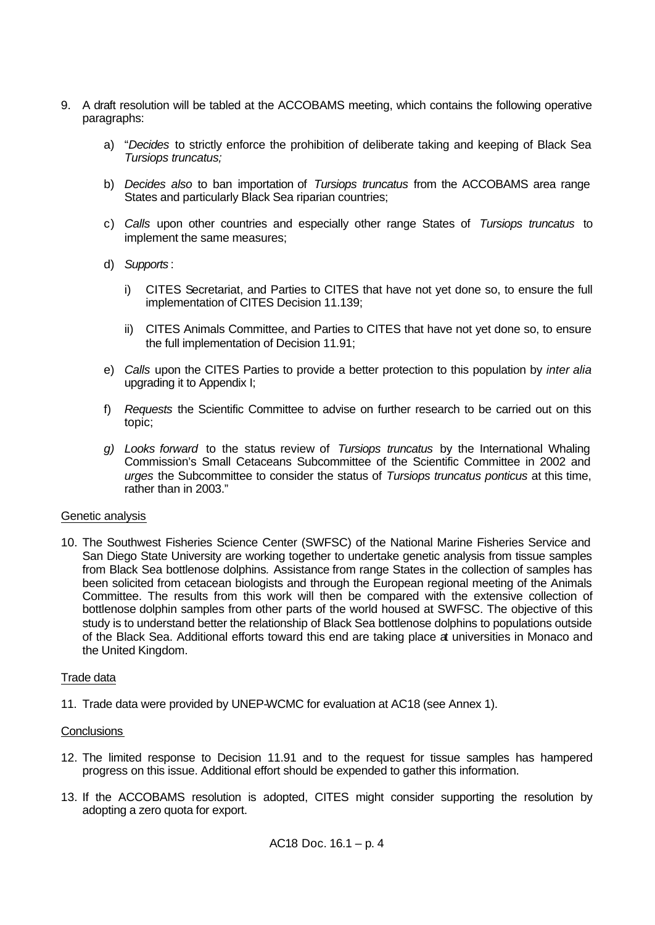- 9. A draft resolution will be tabled at the ACCOBAMS meeting, which contains the following operative paragraphs:
	- a) "*Decides* to strictly enforce the prohibition of deliberate taking and keeping of Black Sea *Tursiops truncatus;*
	- b) *Decides also* to ban importation of *Tursiops truncatus* from the ACCOBAMS area range States and particularly Black Sea riparian countries;
	- c) *Calls* upon other countries and especially other range States of *Tursiops truncatus* to implement the same measures;
	- d) *Supports* :
		- i) CITES Secretariat, and Parties to CITES that have not yet done so, to ensure the full implementation of CITES Decision 11.139;
		- ii) CITES Animals Committee, and Parties to CITES that have not yet done so, to ensure the full implementation of Decision 11.91;
	- e) *Calls* upon the CITES Parties to provide a better protection to this population by *inter alia* upgrading it to Appendix I;
	- f) *Requests* the Scientific Committee to advise on further research to be carried out on this topic;
	- *g) Looks forward* to the status review of *Tursiops truncatus* by the International Whaling Commission's Small Cetaceans Subcommittee of the Scientific Committee in 2002 and *urges* the Subcommittee to consider the status of *Tursiops truncatus ponticus* at this time, rather than in 2003."

# Genetic analysis

10. The Southwest Fisheries Science Center (SWFSC) of the National Marine Fisheries Service and San Diego State University are working together to undertake genetic analysis from tissue samples from Black Sea bottlenose dolphins*.* Assistance from range States in the collection of samples has been solicited from cetacean biologists and through the European regional meeting of the Animals Committee. The results from this work will then be compared with the extensive collection of bottlenose dolphin samples from other parts of the world housed at SWFSC. The objective of this study is to understand better the relationship of Black Sea bottlenose dolphins to populations outside of the Black Sea. Additional efforts toward this end are taking place at universities in Monaco and the United Kingdom.

# Trade data

11. Trade data were provided by UNEP-WCMC for evaluation at AC18 (see Annex 1).

# **Conclusions**

- 12. The limited response to Decision 11.91 and to the request for tissue samples has hampered progress on this issue. Additional effort should be expended to gather this information.
- 13. If the ACCOBAMS resolution is adopted, CITES might consider supporting the resolution by adopting a zero quota for export.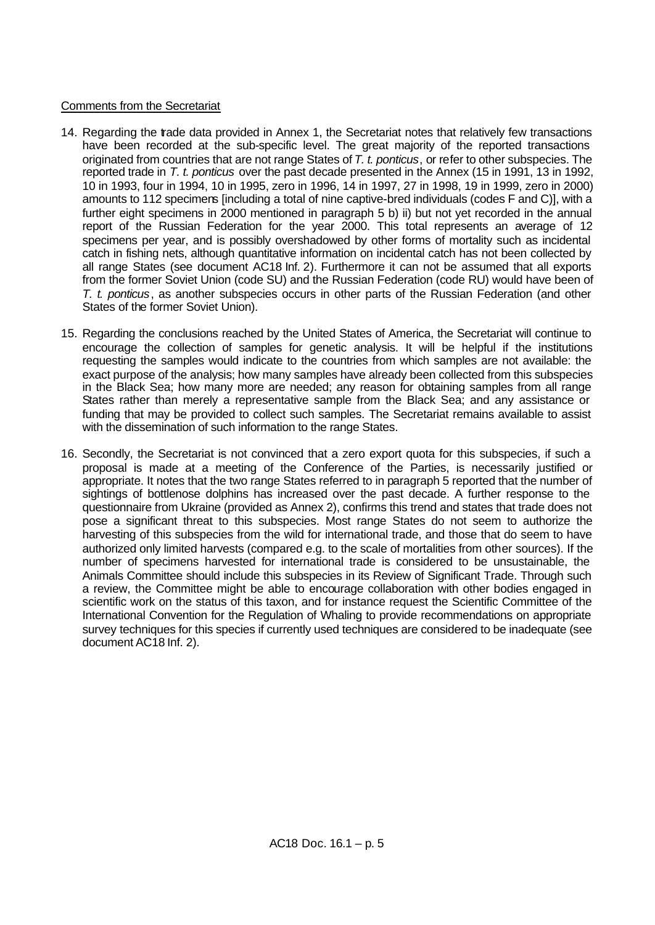# Comments from the Secretariat

- 14. Regarding the trade data provided in Annex 1, the Secretariat notes that relatively few transactions have been recorded at the sub-specific level. The great majority of the reported transactions originated from countries that are not range States of *T. t. ponticus*, or refer to other subspecies. The reported trade in *T. t. ponticus* over the past decade presented in the Annex (15 in 1991, 13 in 1992, 10 in 1993, four in 1994, 10 in 1995, zero in 1996, 14 in 1997, 27 in 1998, 19 in 1999, zero in 2000) amounts to 112 specimens [including a total of nine captive-bred individuals (codes F and C)], with a further eight specimens in 2000 mentioned in paragraph 5 b) ii) but not yet recorded in the annual report of the Russian Federation for the year 2000. This total represents an average of 12 specimens per year, and is possibly overshadowed by other forms of mortality such as incidental catch in fishing nets, although quantitative information on incidental catch has not been collected by all range States (see document AC18 Inf. 2). Furthermore it can not be assumed that all exports from the former Soviet Union (code SU) and the Russian Federation (code RU) would have been of *T. t. ponticus*, as another subspecies occurs in other parts of the Russian Federation (and other States of the former Soviet Union).
- 15. Regarding the conclusions reached by the United States of America, the Secretariat will continue to encourage the collection of samples for genetic analysis. It will be helpful if the institutions requesting the samples would indicate to the countries from which samples are not available: the exact purpose of the analysis; how many samples have already been collected from this subspecies in the Black Sea; how many more are needed; any reason for obtaining samples from all range States rather than merely a representative sample from the Black Sea; and any assistance or funding that may be provided to collect such samples. The Secretariat remains available to assist with the dissemination of such information to the range States.
- 16. Secondly, the Secretariat is not convinced that a zero export quota for this subspecies, if such a proposal is made at a meeting of the Conference of the Parties, is necessarily justified or appropriate. It notes that the two range States referred to in paragraph 5 reported that the number of sightings of bottlenose dolphins has increased over the past decade. A further response to the questionnaire from Ukraine (provided as Annex 2), confirms this trend and states that trade does not pose a significant threat to this subspecies. Most range States do not seem to authorize the harvesting of this subspecies from the wild for international trade, and those that do seem to have authorized only limited harvests (compared e.g. to the scale of mortalities from other sources). If the number of specimens harvested for international trade is considered to be unsustainable, the Animals Committee should include this subspecies in its Review of Significant Trade. Through such a review, the Committee might be able to encourage collaboration with other bodies engaged in scientific work on the status of this taxon, and for instance request the Scientific Committee of the International Convention for the Regulation of Whaling to provide recommendations on appropriate survey techniques for this species if currently used techniques are considered to be inadequate (see document AC18 Inf. 2).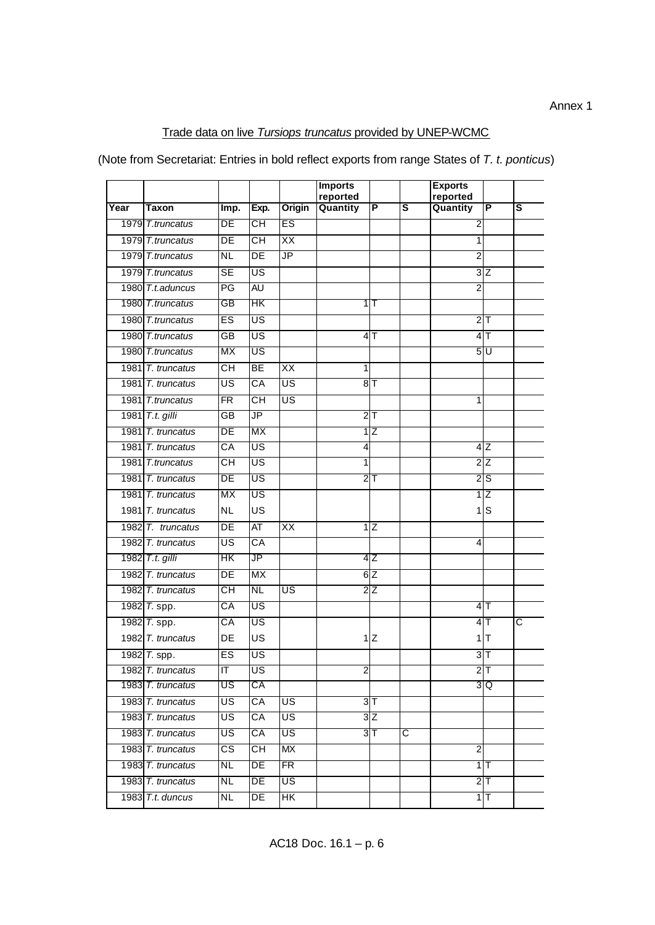# Trade data on live *Tursiops truncatus* provided by UNEP-WCMC

(Note from Secretariat: Entries in bold reflect exports from range States of *T. t. ponticus*)

| reported<br>reported<br>Origin<br>Quantity<br>ΙP<br>$\overline{\mathbf{s}}$<br>Quantity<br>Year<br>Taxon<br>Imp.<br>Exp. |                | P               |   |
|--------------------------------------------------------------------------------------------------------------------------|----------------|-----------------|---|
|                                                                                                                          |                |                 |   |
|                                                                                                                          |                |                 | s |
| CН<br>ES<br>DE<br>1979 T.truncatus                                                                                       | 2              |                 |   |
| XX<br>DE<br>$\overline{\overline{\rm CH}}$<br>1979 T.truncatus                                                           | 1              |                 |   |
| <b>JP</b><br><b>NL</b><br>$\overline{DE}$<br>1979 T.truncatus                                                            | $\overline{2}$ |                 |   |
| 1979 T.truncatus<br>$\overline{\mathsf{SE}}$<br>$\overline{\mathsf{US}}$                                                 |                | 3Z              |   |
| $\overline{PG}$<br><b>AU</b><br>1980 T.t.aduncus                                                                         | $\overline{2}$ |                 |   |
| HΚ<br>1980 T.truncatus<br>GB<br>गा⊤                                                                                      |                |                 |   |
| 1980 T.truncatus<br>ES<br>$\overline{\mathsf{US}}$                                                                       |                | 2 <sub>T</sub>  |   |
| $\overline{\mathsf{US}}$<br>4 <sub>T</sub><br>1980 T.truncatus<br>GB                                                     |                | 4 <sub>T</sub>  |   |
| МX<br>US<br>1980 T.truncatus                                                                                             |                | 5 U             |   |
| $\overline{\overline{\text{CH}}}$<br>BE<br>$\overline{XX}$<br>1981 T. truncatus<br>$\mathbf{1}$                          |                |                 |   |
| 8T<br>1981 T. truncatus<br>US<br>CA<br>US                                                                                |                |                 |   |
| <b>FR</b><br>СH<br>US<br>1981 T.truncatus                                                                                | 1              |                 |   |
| 1981 T.t. gilli<br>JP<br>GB<br>$2$ T                                                                                     |                |                 |   |
| МX<br>1981 T. truncatus<br>DE<br>1 Z                                                                                     |                |                 |   |
| $\overline{CA}$<br>$\overline{\mathsf{US}}$<br>1981 T. truncatus<br>$\overline{4}$                                       |                | 4Z              |   |
| 1981 T.truncatus<br>US<br>CН<br>$\mathbf{1}$                                                                             |                | 2Z              |   |
| US<br>1981 T. truncatus<br>DE<br>$2$ T                                                                                   |                | 2S              |   |
| <b>MX</b><br>$\overline{\mathsf{US}}$<br>1981 T. truncatus                                                               |                | $1\overline{Z}$ |   |
| <b>NL</b><br>US<br>1981 T. truncatus                                                                                     | 1              | S               |   |
| $\overline{AT}$<br>DE<br>$\overline{\mathsf{XX}}$<br>$1\overline{Z}$<br>1982 T. truncatus                                |                |                 |   |
| $\overline{\mathsf{US}}$<br>СĀ<br>1982 T. truncatus                                                                      | 4              |                 |   |
| JP<br>1982 T.t. gilli<br>HК<br>4Z                                                                                        |                |                 |   |
| 1982 T. truncatus<br>$\overline{DE}$<br>6Z<br><b>MX</b>                                                                  |                |                 |   |
| <b>NL</b><br>$2\overline{Z}$<br>1982 T. truncatus<br>$\overline{\overline{\text{CH}}}$<br>$\overline{\mathsf{US}}$       |                |                 |   |
| US<br>СA<br>1982 T. spp.                                                                                                 |                | 4IT             |   |
| 1982 T. spp.<br>$\overline{\mathsf{CA}}$<br>$\overline{\mathsf{US}}$                                                     |                | 4               | C |
| US<br>1Z<br>1982 T. truncatus<br>DE                                                                                      |                | $1$  T          |   |
| ES<br>US<br>1982 T. spp.                                                                                                 | $\overline{3}$ | Τ               |   |
| F<br>1982 T. truncatus<br>US<br>$\overline{2}$                                                                           |                | $2$ T           |   |
| US<br>1983 T. truncatus<br>СA                                                                                            |                | 3Q              |   |
| $\overline{\mathsf{US}}$<br>3 <sup>T</sup><br>1983 T. truncatus<br>US<br>CA                                              |                |                 |   |
| 3Z<br>US <sup>-</sup><br>1983 T. truncatus<br>US<br>$\overline{\mathsf{CA}}$                                             |                |                 |   |
| $3$ T<br>US<br>1983 T. truncatus<br>US<br>СA<br>C                                                                        |                |                 |   |
| 1983 T. truncatus<br>$\overline{\text{cs}}$<br>$\overline{\overline{\mathsf{CH}}}$<br><b>MX</b>                          | $\overline{2}$ |                 |   |
| 1983 T. truncatus<br>DE<br>FR<br>NL                                                                                      |                | $1$ T           |   |
| DE<br>US<br>1983 T. truncatus<br><b>NL</b>                                                                               |                | $2$ T           |   |
| 1983 T.t. duncus<br><b>NL</b><br>DE<br>$\overline{\mathsf{HK}}$                                                          |                | $1$ T           |   |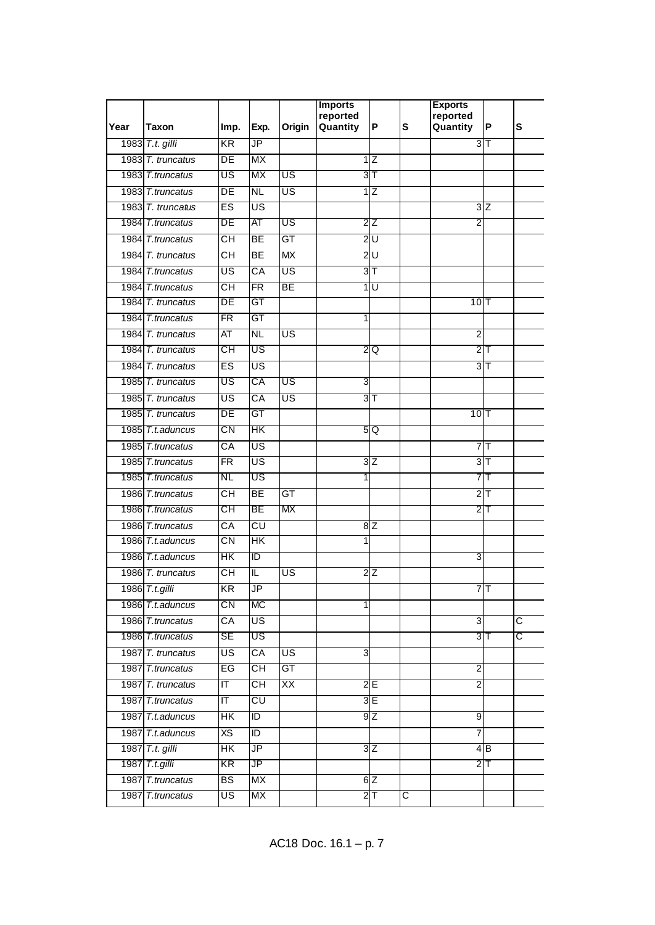|      |                   |                                   |                        |                          | <b>Imports</b><br>reported |                         |                       | <b>Exports</b><br>reported |                         |                       |
|------|-------------------|-----------------------------------|------------------------|--------------------------|----------------------------|-------------------------|-----------------------|----------------------------|-------------------------|-----------------------|
| Year | Taxon             | Imp.                              | Exp.                   | Origin                   | Quantity                   | P                       | S                     | Quantity                   | P                       | S                     |
|      | 1983 T.t. gilli   | KR                                | JP                     |                          |                            |                         |                       |                            | 3 <sub>1</sub>          |                       |
|      | 1983 T. truncatus | $\overline{\mathsf{DE}}$          | МX                     |                          |                            | 1Z                      |                       |                            |                         |                       |
|      | 1983 T.truncatus  | US                                | МX                     | US                       |                            | 3 <sup>T</sup>          |                       |                            |                         |                       |
|      | 1983 T.truncatus  | DE                                | NL                     | US                       |                            | $1\overline{Z}$         |                       |                            |                         |                       |
|      | 1983 T. truncatus | ES                                | US                     |                          |                            |                         |                       |                            | 3Z                      |                       |
|      | 1984 T.truncatus  | DE                                | ΑT                     | US                       |                            | 2Z                      |                       | 2                          |                         |                       |
|      | 1984 T.truncatus  | $\overline{\overline{\text{CH}}}$ | $\overline{BE}$        | GT                       | $\overline{2}$             | $\overline{\mathsf{U}}$ |                       |                            |                         |                       |
|      | 1984 T. truncatus | CН                                | <b>BE</b>              | <b>MX</b>                |                            | 2U                      |                       |                            |                         |                       |
|      | 1984 T.truncatus  | US                                | $\overline{CA}$        | US                       |                            | 3 <sub>T</sub>          |                       |                            |                         |                       |
|      | 1984 T.truncatus  | СH                                | <b>FR</b>              | <b>BE</b>                | 1                          | U                       |                       |                            |                         |                       |
|      | 1984 T. truncatus | DE                                | GT                     |                          |                            |                         |                       | 10 T                       |                         |                       |
|      | 1984 T.truncatus  | $\overline{\mathsf{FR}}$          | $\overline{\text{GT}}$ |                          | 1                          |                         |                       |                            |                         |                       |
|      | 1984 T. truncatus | AT                                | $\overline{\text{NL}}$ | $\overline{\mathsf{US}}$ |                            |                         |                       | $\overline{2}$             |                         |                       |
|      | 1984 T. truncatus | CН                                | US                     |                          |                            | 2 Q                     |                       |                            | $2$ T                   |                       |
|      | 1984 T. truncatus | ES                                | US                     |                          |                            |                         |                       |                            | 3 <sub>T</sub>          |                       |
|      | 1985 T. truncatus | US                                | СA                     | US                       | 3                          |                         |                       |                            |                         |                       |
|      | 1985 T. truncatus | US                                | $\overline{CA}$        | US                       |                            | 3 <sub>T</sub>          |                       |                            |                         |                       |
|      | 1985 T. truncatus | DE                                | GT                     |                          |                            |                         |                       | $10$ <sup>T</sup>          |                         |                       |
|      | 1985 T.t.aduncus  | CN                                | HК                     |                          |                            | 5 Q                     |                       |                            |                         |                       |
|      | 1985 T.truncatus  | $\overline{\mathsf{CA}}$          | US                     |                          |                            |                         |                       |                            | 7                       |                       |
|      | 1985 T.truncatus  | $\overline{\mathsf{FR}}$          | US                     |                          |                            | 3Z                      |                       | 3                          | $\overline{\mathsf{T}}$ |                       |
|      | 1985 T.truncatus  | NL                                | US                     |                          | 1                          |                         |                       |                            | 7 T                     |                       |
|      | 1986 T.truncatus  | CН                                | $\overline{BE}$        | $\overline{GT}$          |                            |                         |                       |                            | 2 <sub>T</sub>          |                       |
|      | 1986 T.truncatus  | СH                                | ВE                     | МX                       |                            |                         |                       |                            | $2\mathsf{T}$           |                       |
|      | 1986 T.truncatus  | $\overline{CA}$                   | CU                     |                          |                            | 8Z                      |                       |                            |                         |                       |
|      | 1986 T.t.aduncus  | CN                                | HΚ                     |                          | 1                          |                         |                       |                            |                         |                       |
|      | 1986 T.t.aduncus  | HΚ                                | ΤD                     |                          |                            |                         |                       | 3                          |                         |                       |
|      | 1986 T. truncatus | CН                                | IL                     | US                       |                            | $2\overline{Z}$         |                       |                            |                         |                       |
|      | 1986 T.t.gilli    | KR                                | JP                     |                          |                            |                         |                       |                            | $7$ T                   |                       |
|      | 1986 T.t.aduncus  | $\overline{\text{CN}}$            | $\overline{\text{MC}}$ |                          | 1                          |                         |                       |                            |                         |                       |
|      | 1986 T.truncatus  | CA                                | US                     |                          |                            |                         |                       | 3                          |                         | $\overline{\text{c}}$ |
|      | 1986 T.truncatus  | SE                                | US                     |                          |                            |                         |                       |                            | 3 <sup>T</sup>          | င                     |
|      | 1987 T. truncatus | US                                | CA                     | US <sup></sup>           | ω                          |                         |                       |                            |                         |                       |
|      | 1987 T.truncatus  | EG                                | СH                     | GT                       |                            |                         |                       | $\overline{c}$             |                         |                       |
|      | 1987 T. truncatus | ΙT                                | CН                     | XX                       |                            | 2E                      |                       | 2                          |                         |                       |
|      | 1987 T.truncatus  | $\overline{\mathsf{T}}$           | CU                     |                          |                            | 3E                      |                       |                            |                         |                       |
|      | 1987 T.t. aduncus | HK                                | ID                     |                          |                            | 9Z                      |                       | 9                          |                         |                       |
|      | 1987 T.t.aduncus  | $\overline{X}$                    | $\overline{1}$         |                          |                            |                         |                       | 7                          |                         |                       |
|      | 1987 T.t. gilli   | $\overline{\mathsf{H}}$           | $J\overline{P}$        |                          |                            | 3Z                      |                       |                            | 4B                      |                       |
|      | 1987 T.t.gilli    | KR                                | JP                     |                          |                            |                         |                       |                            | $2$ T                   |                       |
|      | 1987 T.truncatus  | BS                                | МX                     |                          |                            | 6Z                      |                       |                            |                         |                       |
|      | 1987 T.truncatus  | US                                | МX                     |                          |                            | 2 <sub>T</sub>          | $\overline{\text{c}}$ |                            |                         |                       |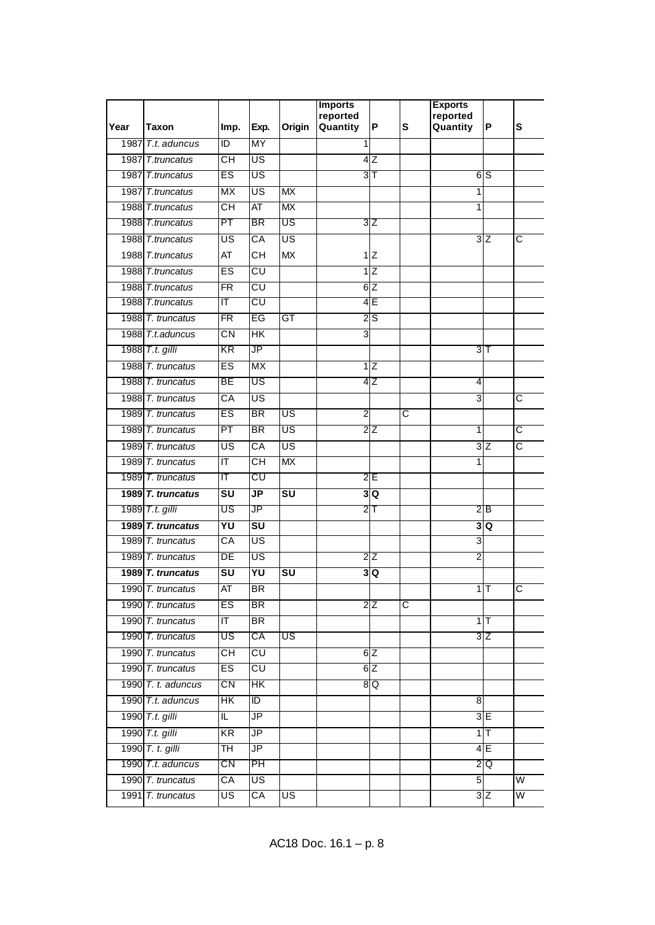|      |                      |                                              |                                   |                                   | <b>Imports</b><br>reported |                  |                         | <b>Exports</b><br>reported |                 |                         |
|------|----------------------|----------------------------------------------|-----------------------------------|-----------------------------------|----------------------------|------------------|-------------------------|----------------------------|-----------------|-------------------------|
| Year | Taxon                | Imp.                                         | Exp.                              | Origin                            | Quantity                   | P                | S                       | Quantity                   | P               | S                       |
| 1987 | T.t. aduncus         | ΙD                                           | MY                                |                                   |                            |                  |                         |                            |                 |                         |
|      | 1987 T.truncatus     | CН                                           | US                                |                                   |                            | 4 Z              |                         |                            |                 |                         |
|      | 1987 T.truncatus     | ES                                           | US                                |                                   |                            | 3 <sup>T</sup>   |                         |                            | 6 S             |                         |
|      | 1987 T.truncatus     | МX                                           | US                                | МX                                |                            |                  |                         | 1                          |                 |                         |
|      | 1988 T.truncatus     | CН                                           | AT                                | МX                                |                            |                  |                         | 1                          |                 |                         |
|      | 1988 T.truncatus     | PT                                           | BR                                | US                                |                            | 3Z               |                         |                            |                 |                         |
|      | 1988 T.truncatus     | US                                           | CA                                | US                                |                            |                  |                         |                            | 3Z              | C                       |
|      | 1988 T.truncatus     | AT                                           | CН                                | <b>MX</b>                         |                            | 1Z               |                         |                            |                 |                         |
|      | 1988 T.truncatus     | ES                                           | CU                                |                                   |                            | 1Z               |                         |                            |                 |                         |
|      | 1988 T.truncatus     | FR                                           | CU                                |                                   |                            | $6\overline{Z}$  |                         |                            |                 |                         |
|      | 1988 T.truncatus     | ΙT                                           | CU                                |                                   |                            | 4 E              |                         |                            |                 |                         |
|      | 1988 T. truncatus    | FR                                           | EG                                | GT                                |                            | $\overline{2}$ S |                         |                            |                 |                         |
|      | 1988 T.t.aduncus     | CN                                           | $\overline{\mathsf{HK}}$          |                                   | 3                          |                  |                         |                            |                 |                         |
|      | 1988 T.t. gilli      | KR                                           | JP                                |                                   |                            |                  |                         |                            | $3$ T           |                         |
|      | 1988 T. truncatus    | ES                                           | <b>MX</b>                         |                                   |                            | $1\overline{Z}$  |                         |                            |                 |                         |
|      | 1988 T. truncatus    | BE                                           | US                                |                                   |                            | 4 Z              |                         | 4                          |                 |                         |
|      | 1988 T. truncatus    | $\overline{\text{CA}}$                       | US                                |                                   |                            |                  |                         | 3                          |                 | C                       |
|      | 1989 T. truncatus    | ES                                           | <b>BR</b>                         | US                                | $\overline{2}$             |                  | $\overline{\mathrm{c}}$ |                            |                 |                         |
|      | 1989 T. truncatus    | PT                                           | <b>BR</b>                         | US                                |                            | 2 Z              |                         | 1                          |                 | C                       |
|      | 1989 T. truncatus    | $\overline{\mathsf{US}}$                     | CA                                | US                                |                            |                  |                         |                            | $3\overline{Z}$ | C                       |
|      | 1989 T. truncatus    | $\overline{\mathsf{T}}$                      | CН                                | <b>MX</b>                         |                            |                  |                         | 1                          |                 |                         |
|      | 1989 T. truncatus    | ΙΤ                                           | CU                                |                                   |                            | 2E               |                         |                            |                 |                         |
|      | 1989 T. truncatus    | $\overline{\mathsf{s}\mathsf{u}}$            | $\overline{\mathsf{J}\mathsf{P}}$ | $\overline{\mathsf{s}\mathsf{u}}$ |                            | 3Q               |                         |                            |                 |                         |
|      | 1989 T.t. gilli      | US                                           | JP                                |                                   |                            | $2$ T            |                         |                            | 2B              |                         |
|      | 1989 T. truncatus    | YU                                           | $\overline{\mathsf{s}\mathsf{u}}$ |                                   |                            |                  |                         | 3                          | Q               |                         |
|      | 1989 T. truncatus    | $\overline{\text{CA}}$                       | US                                |                                   |                            |                  |                         | $\overline{3}$             |                 |                         |
|      | 1989 T. truncatus    | DE                                           | US                                |                                   |                            | 2Z               |                         | $\overline{2}$             |                 |                         |
|      | 1989 T. truncatus    | $\overline{\mathsf{s}\mathsf{u}}$            | YU                                | $\overline{\mathsf{s}\mathsf{u}}$ |                            | 3Q               |                         |                            |                 |                         |
|      | 1990 T. truncatus    | AT                                           | <b>BR</b>                         |                                   |                            |                  |                         |                            | 1T              | $\overline{C}$          |
|      | 1990 T. truncatus    | ES                                           | <b>BR</b>                         |                                   |                            | $2\overline{Z}$  | $\overline{\text{c}}$   |                            |                 |                         |
|      | 1990 T. truncatus    | $\overline{a}$                               | BR                                |                                   |                            |                  |                         |                            | $1$ T           |                         |
|      | 1990 T. truncatus    | US                                           | СA                                | US                                |                            |                  |                         |                            | $3\overline{Z}$ |                         |
|      | 1990 T. truncatus    | $\overline{\overline{\mathsf{c}}\mathsf{H}}$ | CU                                |                                   |                            | 6Z               |                         |                            |                 |                         |
|      | 1990 T. truncatus    | ES                                           | $\overline{\text{c}\text{u}}$     |                                   |                            | 6Z               |                         |                            |                 |                         |
|      | 1990 $T. t.$ aduncus | CΝ                                           | HК                                |                                   |                            | 8Q               |                         |                            |                 |                         |
|      | 1990 T.t. aduncus    | НK                                           | $\overline{1}$                    |                                   |                            |                  |                         | 8                          |                 |                         |
|      | 1990 T.t. gilli      | IL.                                          | $\overline{\mathsf{J}\mathsf{P}}$ |                                   |                            |                  |                         |                            | 3E              |                         |
|      | 1990 T.t. gilli      | KR                                           | $J\overline{P}$                   |                                   |                            |                  |                         |                            | $1$ T           |                         |
|      | 1990 T. t. gilli     | TН                                           | $J\overline{P}$                   |                                   |                            |                  |                         |                            | 4E              |                         |
|      | 1990 T.t. aduncus    | CΝ                                           | PH                                |                                   |                            |                  |                         |                            | 2Q              |                         |
|      | 1990 T. truncatus    | CA                                           | US                                |                                   |                            |                  |                         | 5                          |                 | $\overline{\mathsf{W}}$ |
|      | 1991 T. truncatus    | US                                           | CA                                | US                                |                            |                  |                         |                            | $3\overline{Z}$ | W                       |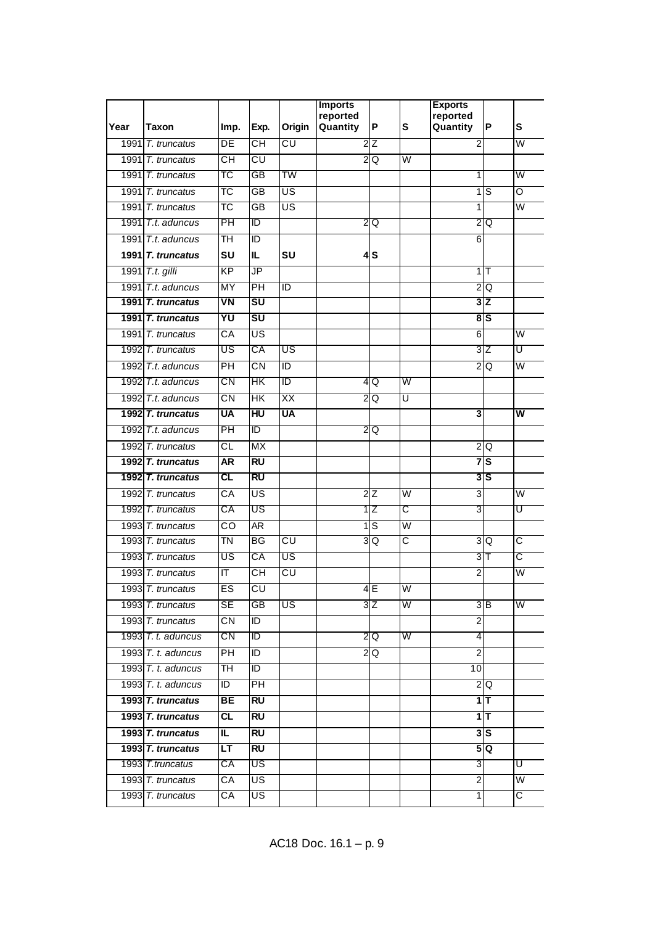|      |                      |                         |                                   |                               | <b>Imports</b>       |                            |                         | <b>Exports</b>          |                 |                         |
|------|----------------------|-------------------------|-----------------------------------|-------------------------------|----------------------|----------------------------|-------------------------|-------------------------|-----------------|-------------------------|
| Year | Taxon                | Imp.                    | Exp.                              | Origin                        | reported<br>Quantity | P                          | S                       | reported<br>Quantity    | P               | S                       |
| 1991 | T. truncatus         | DE                      | CН                                | CU                            |                      | 2Z                         |                         | 2                       |                 | W                       |
|      | 1991 T. truncatus    | CН                      | CU                                |                               |                      | $2\overline{Q}$            | W                       |                         |                 |                         |
|      | 1991 T. truncatus    | ТC                      | GB                                | TW                            |                      |                            |                         | 1                       |                 | W                       |
| 1991 | T. truncatus         | ТC                      | $\overline{GB}$                   | US                            |                      |                            |                         | 1                       | S               | O                       |
|      | 1991 T. truncatus    | ТC                      | <b>GB</b>                         | US                            |                      |                            |                         | 1                       |                 | $\overline{\mathsf{W}}$ |
|      | 1991 T.t. aduncus    | PH                      | ID                                |                               |                      | 2Q                         |                         |                         | 2 Q             |                         |
|      | 1991 T.t. aduncus    | ТH                      | $\overline{D}$                    |                               |                      |                            |                         | 6                       |                 |                         |
|      | 1991 $T.$ truncatus  | SU                      | IL                                | SU                            |                      | 4S                         |                         |                         |                 |                         |
|      | 1991 T.t. gilli      | <b>KP</b>               | JP                                |                               |                      |                            |                         |                         | 1               |                         |
|      | 1991 T.t. aduncus    | <b>MY</b>               | $\overline{PH}$                   | ID                            |                      |                            |                         |                         | 2Q              |                         |
|      | 1991 T. truncatus    | VN                      | SU                                |                               |                      |                            |                         |                         | 3Z              |                         |
|      | 1991 $T.$ truncatus  | YU                      | $\overline{\mathsf{s}\mathsf{u}}$ |                               |                      |                            |                         |                         | 8S              |                         |
|      | 1991 T. truncatus    | $\overline{\text{CA}}$  | US                                |                               |                      |                            |                         | 6                       |                 | $\overline{\mathsf{W}}$ |
|      | 1992 T. truncatus    | US                      | СA                                | US                            |                      |                            |                         | 3                       | Z               | U                       |
|      | 1992 T.t. aduncus    | $\overline{PH}$         | $\overline{\text{CN}}$            | Г                             |                      |                            |                         |                         | 2 Q             | $\overline{\mathsf{W}}$ |
|      | 1992 $T.t.$ aduncus  | CΝ                      | HК                                | ID                            |                      | 4 Q                        | W                       |                         |                 |                         |
|      | 1992 T.t. aduncus    | $\overline{\text{CN}}$  | $\overline{\mathsf{HK}}$          | XX                            |                      | $\overline{2Q}$            | Ū                       |                         |                 |                         |
|      | 1992 T. truncatus    | <b>UA</b>               | HU                                | <b>UA</b>                     |                      |                            |                         | 3                       |                 | w                       |
|      | 1992 T.t. aduncus    | PH                      | ID                                |                               |                      | 2Q                         |                         |                         |                 |                         |
|      | 1992 T. truncatus    | $\overline{\text{CL}}$  | $\overline{MX}$                   |                               |                      |                            |                         |                         | 2 Q             |                         |
|      | 1992 T. truncatus    | <b>AR</b>               | <b>RU</b>                         |                               |                      |                            |                         |                         | 7s              |                         |
|      | 1992 T. truncatus    | CL                      | RU                                |                               |                      |                            |                         |                         | 3S              |                         |
|      | 1992 T. truncatus    | $\overline{\text{CA}}$  | US                                |                               |                      | $2\overline{Z}$            | $\overline{\mathsf{W}}$ | $\overline{3}$          |                 | $\overline{\mathsf{W}}$ |
|      | 1992 T. truncatus    | СA                      | US                                |                               |                      | 1Z                         | C                       | 3                       |                 | Ū                       |
|      | 1993 T. truncatus    | CO                      | $\overline{\mathsf{AR}}$          |                               |                      | $\overline{1}\overline{S}$ | $\overline{\mathsf{W}}$ |                         |                 |                         |
|      | 1993 T. truncatus    | TN                      | <b>BG</b>                         | $\overline{\text{c}\text{u}}$ |                      | 3Q                         | $\overline{\text{c}}$   |                         | 3Q              | C                       |
|      | 1993 T. truncatus    | US                      | СA                                | US                            |                      |                            |                         |                         | $3$ T           | C                       |
|      | 1993 T. truncatus    | $\overline{\mathsf{T}}$ | CН                                | $\overline{\text{c}\text{u}}$ |                      |                            |                         | $\overline{2}$          |                 | $\overline{\mathsf{W}}$ |
|      | 1993 T. truncatus    | ES                      | CU                                |                               |                      | 4E                         | W                       |                         |                 |                         |
|      | 1993 T. truncatus    | <b>SE</b>               | GB                                | US                            |                      | $3\overline{Z}$            | W                       |                         | $3\overline{B}$ | W                       |
|      | 1993 T. truncatus    | $\overline{\text{CN}}$  | ID                                |                               |                      |                            |                         | $\overline{\mathbf{c}}$ |                 |                         |
|      | 1993 $T. t.$ aduncus | CN                      | Đ                                 |                               |                      | 2Q                         | W                       | 4                       |                 |                         |
|      | 1993 T. t. aduncus   | PH                      | ID                                |                               |                      | 2Q                         |                         | $\overline{c}$          |                 |                         |
|      | 1993 $T. t.$ aduncus | <b>TH</b>               | ID                                |                               |                      |                            |                         | 10                      |                 |                         |
|      | 1993 T. t. aduncus   | Đ                       | PH                                |                               |                      |                            |                         |                         | 2 Q             |                         |
|      | 1993 T. truncatus    | BЕ                      | <b>RU</b>                         |                               |                      |                            |                         |                         | $1$ T           |                         |
|      | 1993 T. truncatus    | $\overline{c}$          | <b>RU</b>                         |                               |                      |                            |                         |                         | $1$ T           |                         |
|      | 1993 T. truncatus    | IL.                     | RU                                |                               |                      |                            |                         |                         | 3S              |                         |
|      | 1993 T. truncatus    | <b>LT</b>               | RU                                |                               |                      |                            |                         |                         | 5Q              |                         |
|      | 1993 T.truncatus     | СA                      | US                                |                               |                      |                            |                         | 3                       |                 | U                       |
|      | 1993 T. truncatus    | СA                      | US                                |                               |                      |                            |                         | $\overline{2}$          |                 | $\overline{\mathsf{W}}$ |
|      | 1993 T. truncatus    | СA                      | US                                |                               |                      |                            |                         | 1                       |                 | $\overline{C}$          |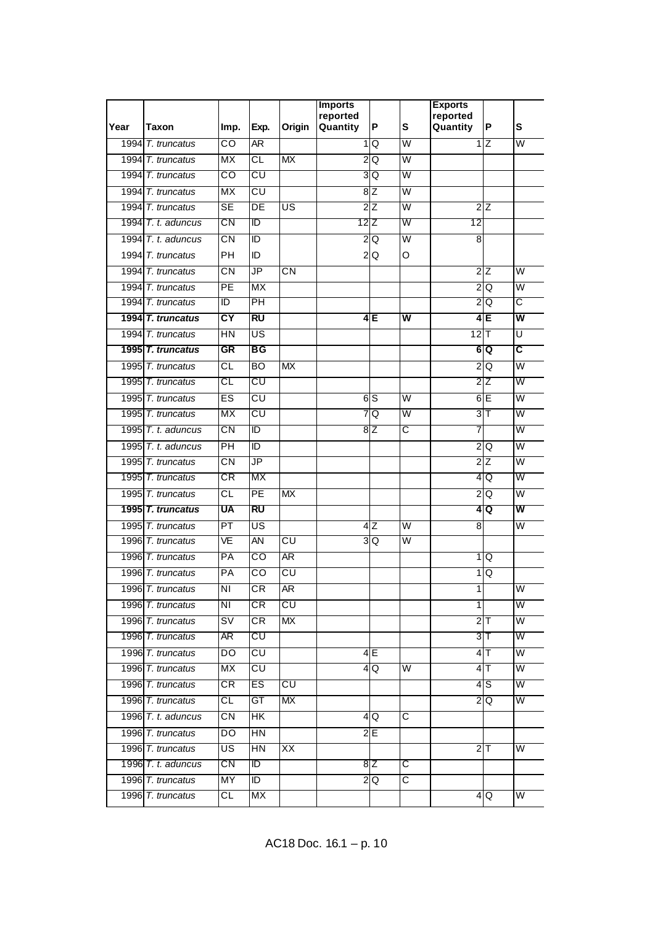|      |                         |                                   |                                   |                               | <b>Imports</b><br>reported |                 |                         | <b>Exports</b><br>reported |                        |                         |
|------|-------------------------|-----------------------------------|-----------------------------------|-------------------------------|----------------------------|-----------------|-------------------------|----------------------------|------------------------|-------------------------|
| Year | Taxon                   | Imp.                              | Exp.                              | Origin                        | Quantity                   | P               | S                       | Quantity                   | P                      | S                       |
|      | 1994 T. truncatus       | $\overline{\text{co}}$            | ĀR                                |                               | 1                          | Q               | W                       | 1                          | ΙZ                     | W                       |
|      | 1994 T. truncatus       | МX                                | CL                                | МX                            |                            | 2Q              | W                       |                            |                        |                         |
|      | 1994 T. truncatus       | CO                                | CU                                |                               |                            | 3 Q             | W                       |                            |                        |                         |
|      | 1994 T. truncatus       | MX                                | CU                                |                               |                            | 8Z              | $\overline{\mathsf{w}}$ |                            |                        |                         |
|      | 1994 T. truncatus       | <b>SE</b>                         | DE                                | US                            |                            | $2\overline{z}$ | $\overline{\mathsf{W}}$ |                            | 2Z                     |                         |
|      | 1994 T. t. aduncus      | CΝ                                | ID                                |                               |                            | 12 Z            | W                       | 12                         |                        |                         |
|      | 1994 T. t. aduncus      | $\overline{\text{CN}}$            | ID                                |                               |                            | 2Q              | $\overline{\mathsf{W}}$ | 8                          |                        |                         |
|      | 1994 T. truncatus       | PН                                | ID                                |                               |                            | 2Q              | O                       |                            |                        |                         |
|      | 1994 T. truncatus       | $\overline{\text{CN}}$            | $\overline{\mathsf{JP}}$          | $\overline{\text{CN}}$        |                            |                 |                         |                            | 2Z                     | $\overline{\mathsf{W}}$ |
|      | 1994 T. truncatus       | PE                                | MX                                |                               |                            |                 |                         |                            | 2Q                     | $\overline{\mathsf{W}}$ |
|      | 1994 T. truncatus       | ΙD                                | PH                                |                               |                            |                 |                         |                            | 2 Q                    | С                       |
|      | 1994 T. truncatus       | $\overline{\mathsf{C}\mathsf{Y}}$ | $\overline{RU}$                   |                               |                            | 4 E             | $\overline{\mathsf{w}}$ |                            | 4E                     | $\overline{\mathsf{w}}$ |
|      | 1994 T. truncatus       | $\overline{HN}$                   | US                                |                               |                            |                 |                         | $12$ T                     |                        | $\overline{\mathtt{U}}$ |
|      | 1995 T. truncatus       | <b>GR</b>                         | BG                                |                               |                            |                 |                         |                            | 6 Q                    | $\overline{\mathsf{c}}$ |
|      | 1995 T. truncatus       | $\overline{\text{CL}}$            | $\overline{BO}$                   | <b>MX</b>                     |                            |                 |                         | $\overline{2}$             | Q                      | $\overline{\mathsf{W}}$ |
|      | 1995 T. truncatus       | СL                                | CU                                |                               |                            |                 |                         |                            | $2\overline{Z}$        | W                       |
|      | 1995 T. truncatus       | ES                                | CU                                |                               |                            | 6S              | $\overline{\mathsf{W}}$ |                            | 6E                     | $\overline{\mathsf{W}}$ |
|      | 1995 T. truncatus       | <b>MX</b>                         | $\overline{\text{c}\text{u}}$     |                               |                            | 7Q              | W                       |                            | 3 <sub>T</sub>         | $\overline{\mathsf{W}}$ |
|      | 1995 $T_t$ , t. aduncus | CN                                | ID                                |                               |                            | 8 Z             | C                       | 7                          |                        | W                       |
|      | 1995 $T. t.$ aduncus    | $\overline{PH}$                   | $\overline{D}$                    |                               |                            |                 |                         | $\overline{2}$             | Q                      | $\overline{\mathsf{W}}$ |
|      | 1995 T. truncatus       | $\overline{\text{CN}}$            | $\overline{\mathsf{J}\mathsf{P}}$ |                               |                            |                 |                         |                            | $2\overline{Z}$        | $\overline{\mathsf{W}}$ |
|      | 1995 T. truncatus       | CR                                | МX                                |                               |                            |                 |                         |                            | 4 Q                    | W                       |
|      | 1995 T. truncatus       | CL                                | PE                                | <b>MX</b>                     |                            |                 |                         | $\overline{2}$             | Q                      | $\overline{\mathsf{W}}$ |
|      | 1995 T. truncatus       | <b>UA</b>                         | <b>RU</b>                         |                               |                            |                 |                         | 4                          | lQ                     | W                       |
|      | 1995 T. truncatus       | PT                                | US                                |                               |                            | 4Z              | W                       | 8                          |                        | $\overline{\mathsf{W}}$ |
|      | 1996 T. truncatus       | VE                                | AN                                | $\overline{\text{c}\text{u}}$ |                            | 3Q              | $\overline{\mathsf{W}}$ |                            |                        |                         |
|      | 1996 T. truncatus       | PA                                | $_{\rm CO}$                       | AR                            |                            |                 |                         |                            | 1Q                     |                         |
|      | 1996 T. truncatus       | $\overline{PA}$                   | CO                                | $\overline{\text{c}\text{u}}$ |                            |                 |                         | 1                          | Q                      |                         |
|      | 1996 T. truncatus       | ΝI                                | <b>CR</b>                         | <b>AR</b>                     |                            |                 |                         | $\overline{1}$             |                        | W                       |
|      | 1996 T. truncatus       | $\overline{\text{NI}}$            | СR                                | CU                            |                            |                 |                         | $\mathbf{1}$               |                        | W                       |
|      | 1996 T. truncatus       | $\overline{\mathsf{sv}}$          | CR                                | MX                            |                            |                 |                         |                            | $2$ T                  | $\overline{\mathsf{W}}$ |
|      | 1996 T. truncatus       | AR                                | CU                                |                               |                            |                 |                         |                            | $3$ T                  | W                       |
|      | 1996 T. truncatus       | DO                                | $\overline{\text{c} \text{u}}$    |                               |                            | 4E              |                         |                            | $4$ T                  | W                       |
|      | 1996 T. truncatus       | <b>MX</b>                         | $\overline{\text{c} \text{u}}$    |                               |                            | 4Q              | $\overline{\mathsf{W}}$ |                            | $4$ T                  | $\overline{\mathsf{W}}$ |
|      | 1996 T. truncatus       | CR                                | ES                                | CU                            |                            |                 |                         |                            | 4 S                    | W                       |
|      | 1996 T. truncatus       | $\overline{c}$                    | GT                                | МX                            |                            |                 |                         |                            | $\frac{2}{\mathsf{Q}}$ | $\overline{\mathsf{W}}$ |
|      | 1996 $T. t.$ aduncus    | СN                                | HK                                |                               |                            | 4Q              | C                       |                            |                        |                         |
|      | 1996 T. truncatus       | DO                                | $\overline{HN}$                   |                               |                            | 2E              |                         |                            |                        |                         |
|      | 1996 T. truncatus       | US                                | HN                                | XX                            |                            |                 |                         |                            | $2$ T                  | W                       |
|      | 1996 T. t. aduncus      | CN                                | $\overline{D}$                    |                               |                            | 8 Z             | C                       |                            |                        |                         |
|      | 1996 T. truncatus       | MY                                | ID                                |                               |                            | $2\overline{Q}$ | $\overline{\text{c}}$   |                            |                        |                         |
|      | 1996 T. truncatus       | CL                                | MX                                |                               |                            |                 |                         |                            | 4Q                     | W                       |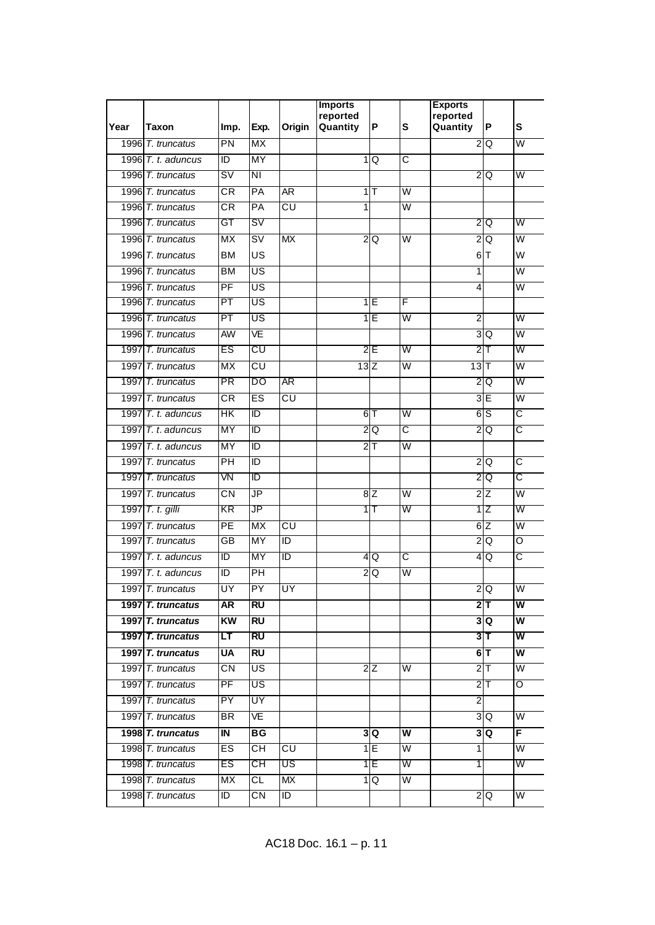| Year | Taxon                   | Imp.                     | Exp.                                | Origin          | <b>Imports</b><br>reported<br>Quantity | P              | S                       | <b>Exports</b><br>reported<br>Quantity | P              | S                       |
|------|-------------------------|--------------------------|-------------------------------------|-----------------|----------------------------------------|----------------|-------------------------|----------------------------------------|----------------|-------------------------|
|      | 1996 T. truncatus       | PN                       | <b>MX</b>                           |                 |                                        |                |                         |                                        | $2\textsf{IQ}$ | $\overline{\mathsf{W}}$ |
|      | 1996 T. t. aduncus      | ΤD                       | <b>MY</b>                           |                 |                                        | 1Q             | C                       |                                        |                |                         |
|      | 1996 T. truncatus       | S٧                       | ΝI                                  |                 |                                        |                |                         |                                        | 2Q             | W                       |
|      | 1996 T. truncatus       | $\overline{\textsf{CR}}$ | PA                                  | AR <sup>1</sup> |                                        | 1              | W                       |                                        |                |                         |
|      | 1996 T. truncatus       | $\overline{\textsf{CR}}$ | PA                                  | CU              | 1                                      |                | $\overline{\mathsf{W}}$ |                                        |                |                         |
|      | 1996 T. truncatus       | GT                       | SV                                  |                 |                                        |                |                         |                                        | 2 Q            | W                       |
|      | 1996 T. truncatus       | $\overline{MX}$          | $\overline{\mathsf{sv}}$            | <b>MX</b>       | $\overline{c}$                         | Q              | $\overline{\mathsf{W}}$ |                                        | 2Q             | $\overline{W}$          |
|      | 1996 T. truncatus       | <b>BM</b>                | US                                  |                 |                                        |                |                         |                                        | 6T             | W                       |
|      | 1996 T. truncatus       | <b>BM</b>                | $\overline{\mathsf{US}}$            |                 |                                        |                |                         | $\overline{1}$                         |                | $\overline{\mathsf{W}}$ |
|      | 1996 T. truncatus       | PF                       | US                                  |                 |                                        |                |                         | $\overline{4}$                         |                | $\overline{\mathsf{W}}$ |
|      | 1996 T. truncatus       | PT                       | US                                  |                 |                                        | 1IE            | F                       |                                        |                |                         |
|      | 1996 T. truncatus       | PT                       | US                                  |                 |                                        | 1E             | $\overline{\mathsf{W}}$ | $\overline{2}$                         |                | $\overline{\mathsf{W}}$ |
|      | 1996 T. truncatus       | <b>AW</b>                | VE                                  |                 |                                        |                |                         |                                        | 3Q             | $\overline{\mathsf{W}}$ |
|      | 1997 T. truncatus       | ES                       | CU                                  |                 |                                        | 2E             | W                       |                                        | $2$ T          | W                       |
|      | 1997 T. truncatus       | <b>MX</b>                | CU                                  |                 | 13Z                                    |                | $\overline{\mathsf{W}}$ | 13                                     |                | $\overline{W}$          |
|      | 1997 T. truncatus       | PR                       | DO                                  | AR              |                                        |                |                         | $\overline{2}$                         | Q              | W                       |
|      | 1997 T. truncatus       | $\overline{\text{CR}}$   | ES                                  | CU              |                                        |                |                         |                                        | 3E             | $\overline{\mathsf{W}}$ |
|      | 1997 $T. t.$ aduncus    | $\overline{\mathsf{HK}}$ | $\overline{D}$                      |                 |                                        | 6T             | $\overline{\mathsf{W}}$ |                                        | 6S             | $\overline{\text{c}}$   |
|      | 1997 $T. t.$ aduncus    | MY                       | ΙD                                  |                 |                                        | 2Q             | C                       | 2                                      | Q              | C                       |
|      | 1997 $T_t$ , t. aduncus | <b>MY</b>                | ID                                  |                 |                                        | $2\mathsf{T}$  | $\overline{\mathsf{W}}$ |                                        |                |                         |
|      | 1997 T. truncatus       | $\overline{P}$           | $\overline{D}$                      |                 |                                        |                |                         |                                        | 2Q             | $\overline{\text{c}}$   |
|      | 1997 T. truncatus       | VN                       | ΤD                                  |                 |                                        |                |                         |                                        | 2Q             | C                       |
|      | 1997 T. truncatus       | CN                       | $\overline{\mathsf{J}\mathsf{P}}$   |                 |                                        | 8Z             | W                       |                                        | 2Z             | $\overline{\mathsf{W}}$ |
|      | 1997 T. t. gilli        | KR                       | JP                                  |                 |                                        | 1 T            | W                       |                                        | 1Z             | W                       |
|      | 1997 T. truncatus       | $\overline{PE}$          | MX                                  | CU              |                                        |                |                         |                                        | 6Z             | $\overline{\mathsf{W}}$ |
|      | 1997 T. truncatus       | GB                       | <b>MY</b>                           | ID              |                                        |                |                         | $\overline{2}$                         | Q              | O                       |
|      | 1997 $T. t.$ aduncus    | ΙD                       | ΜY                                  | ΙD              |                                        | 4Q             | C                       |                                        | 4 Q            | ਟ                       |
|      | 1997 T. t. aduncus      | ID                       | $\overline{P}$                      |                 | $\mathbf{2}$                           | Q              | $\overline{\mathsf{W}}$ |                                        |                |                         |
|      | 1997 T. truncatus       | UY                       | PY                                  | UY              |                                        |                |                         |                                        | 2Q             | W                       |
|      | 1997 T. truncatus       | AR                       | <b>RU</b>                           |                 |                                        |                |                         |                                        | $2$ T          | W                       |
|      | 1997 T. truncatus       | KW                       | <b>RU</b>                           |                 |                                        |                |                         |                                        | 3Q             | $\overline{\mathsf{w}}$ |
|      | 1997 T. truncatus       | LT                       | <b>RU</b>                           |                 |                                        |                |                         |                                        | $3$ T          | W                       |
|      | 1997 T. truncatus       | <b>UA</b>                | RU                                  |                 |                                        |                |                         |                                        | $6$ T          | W                       |
|      | 1997 T. truncatus       | СN                       | US                                  |                 |                                        | 2Z             | W                       |                                        | $2$ T          | $\overline{\mathsf{W}}$ |
|      | 1997 T. truncatus       | PF                       | US                                  |                 |                                        |                |                         |                                        | 2T             | Ō                       |
|      | 1997 T. truncatus       | $\overline{PY}$          | UY                                  |                 |                                        |                |                         | $\overline{a}$                         |                |                         |
|      | 1997 T. truncatus       | BR.                      | VE                                  |                 |                                        |                |                         |                                        | 3Q             | W                       |
|      | 1998 T. truncatus       | IN                       | BG                                  |                 |                                        | 3 Q            | W                       |                                        | 3Q             | F                       |
|      | 1998 T. truncatus       | ES                       | $\overline{\overline{\mathsf{CH}}}$ | CU              |                                        | 1E             | $\overline{\mathsf{W}}$ | 1                                      |                | $\overline{\mathsf{W}}$ |
|      | 1998 T. truncatus       | ES                       | СH                                  | US              |                                        | 1 E            | W                       | 1                                      |                | W                       |
|      | 1998 T. truncatus       | MX                       | CL                                  | <b>MX</b>       |                                        | 1 <sub>Q</sub> | $\overline{\mathsf{w}}$ |                                        |                |                         |
|      | 1998 T. truncatus       | ID                       | $\overline{\text{CN}}$              | ID              |                                        |                |                         |                                        | $\frac{2}{2}$  | W                       |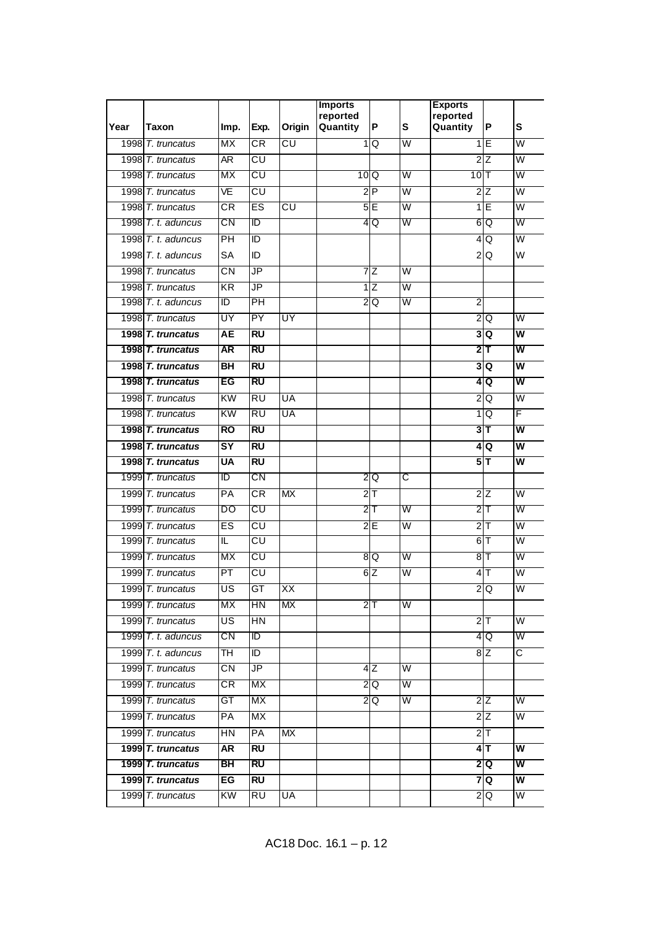|      |                      |                          |                                   |           | <b>Imports</b><br>reported |                 |                         | <b>Exports</b><br>reported |                        |                         |
|------|----------------------|--------------------------|-----------------------------------|-----------|----------------------------|-----------------|-------------------------|----------------------------|------------------------|-------------------------|
| Year | Taxon                | Imp.                     | Exp.                              | Origin    | Quantity                   | P               | S                       | Quantity                   | P                      | S                       |
|      | 1998 T. truncatus    | MX                       | $\overline{\textsf{CR}}$          | CU        | 1                          | Q               | W                       |                            | 1E                     | $\overline{\mathsf{W}}$ |
|      | 1998 T. truncatus    | AR <sup>.</sup>          | CU                                |           |                            |                 |                         |                            | 2Z                     | W                       |
|      | 1998 T. truncatus    | МX                       | CU                                |           |                            | 10 Q            | W                       | $10$  T                    |                        | W                       |
|      | 1998 T. truncatus    | VE                       | CU                                |           |                            | 2P              | W                       |                            | 2Z                     | W                       |
|      | 1998 T. truncatus    | $\overline{\textsf{CR}}$ | ES                                | CU        |                            | 5E              | $\overline{\mathsf{W}}$ |                            | 1Ē                     | $\overline{\mathsf{W}}$ |
|      | 1998 T. t. aduncus   | CΝ                       | ID                                |           |                            | 4Q              | W                       |                            | 6 Q                    | W                       |
|      | 1998 T. t. aduncus   | $\overline{P}$           | ID                                |           |                            |                 |                         |                            | 4Q                     | $\overline{\mathsf{W}}$ |
|      | 1998 $T. t.$ aduncus | <b>SA</b>                | ID                                |           |                            |                 |                         |                            | $2\overline{Q}$        | W                       |
|      | 1998 T. truncatus    | $\overline{\text{CN}}$   | $\overline{\mathsf{JP}}$          |           |                            | 7 Z             | $\overline{\mathsf{W}}$ |                            |                        |                         |
|      | 1998 T. truncatus    | $\overline{KR}$          | $\overline{\mathsf{J}\mathsf{P}}$ |           |                            | $1\overline{Z}$ | $\overline{\mathsf{W}}$ |                            |                        |                         |
|      | 1998 T. t. aduncus   | ΙD                       | PH                                |           |                            | 2Q              | W                       | 2                          |                        |                         |
|      | 1998 T. truncatus    | UY                       | $\overline{PY}$                   | UY        |                            |                 |                         |                            | $2\overline{Q}$        | $\overline{\mathsf{W}}$ |
|      | 1998 T. truncatus    | AЕ                       | $\overline{RU}$                   |           |                            |                 |                         |                            | $3\overline{Q}$        | $\overline{\mathsf{w}}$ |
|      | 1998 T. truncatus    | <b>AR</b>                | <b>RU</b>                         |           |                            |                 |                         |                            | $2 \mathsf{T}$         | $\overline{\mathsf{w}}$ |
|      | 1998 T. truncatus    | $\overline{B}$           | $\overline{RU}$                   |           |                            |                 |                         |                            | 3Q                     | $\overline{\mathsf{w}}$ |
|      | 1998 T. truncatus    | EG                       | RU                                |           |                            |                 |                         | 4                          | Q                      | W                       |
|      | 1998 T. truncatus    | KW                       | $\overline{RU}$                   | UA        |                            |                 |                         |                            | $2\overline{Q}$        | $\overline{\mathsf{W}}$ |
|      | 1998 T. truncatus    | $\overline{KW}$          | $\overline{RU}$                   | UA        |                            |                 |                         |                            | 1 <sub>Q</sub>         | F                       |
|      | 1998 T. truncatus    | <b>RO</b>                | RU                                |           |                            |                 |                         |                            | 3 T                    | W                       |
|      | 1998 T. truncatus    | $\overline{\mathsf{SY}}$ | $\overline{RU}$                   |           |                            |                 |                         |                            | 4 Q                    | $\overline{\mathsf{w}}$ |
|      | 1998 T. truncatus    | <b>UA</b>                | $\overline{RU}$                   |           |                            |                 |                         |                            | $5\overline{1}$        | w                       |
|      | 1999 T. truncatus    | ΙD                       | CΝ                                |           |                            | 2IQ             | C                       |                            |                        |                         |
|      | 1999 T. truncatus    | PA                       | <b>CR</b>                         | <b>MX</b> |                            | $2$ T           |                         |                            | $2\overline{Z}$        | $\overline{\mathsf{W}}$ |
|      | 1999 T. truncatus    | DO                       | CU                                |           |                            | 2T              | W                       |                            | $2$ T                  | W                       |
|      | 1999 T. truncatus    | ES                       | $\overline{\mathsf{c}\mathsf{u}}$ |           |                            | 2E              | $\overline{\mathsf{W}}$ |                            | $2$ T                  | $\overline{\mathsf{W}}$ |
|      | 1999 T. truncatus    | IL                       | $\overline{\mathsf{c}\mathsf{u}}$ |           |                            |                 |                         |                            | 6 T                    | W                       |
|      | 1999 T. truncatus    | МX                       | CU                                |           |                            | 8 Q             | W                       |                            | $8$ T                  | W                       |
|      | 1999 T. truncatus    | PT                       | $\overline{\text{c}\text{u}}$     |           |                            | 6Z              | $\overline{\mathsf{W}}$ | $\overline{\mathbf{4}}$    | IТ                     | $\overline{\mathsf{W}}$ |
|      | 1999 T. truncatus    | US                       | <b>GT</b>                         | XX        |                            |                 |                         |                            | 2Q                     | W                       |
|      | 1999 T. truncatus    | МX                       | HN                                | МX        |                            | $2$ T           | W                       |                            |                        |                         |
|      | 1999 T. truncatus    | US                       | HN                                |           |                            |                 |                         |                            | $2$ T                  | $\overline{\mathsf{W}}$ |
|      | 1999 $T. t.$ aduncus | CN                       | ID                                |           |                            |                 |                         |                            | 4 Q                    | W                       |
|      | 1999 T. t. aduncus   | TH                       | ID                                |           |                            |                 |                         |                            | 8Z                     | C                       |
|      | 1999 T. truncatus    | $\overline{\text{CN}}$   | JP                                |           |                            | 4Z              | W                       |                            |                        |                         |
|      | 1999 T. truncatus    | CR                       | <b>MX</b>                         |           |                            | 2 Q             | W                       |                            |                        |                         |
|      | 1999 T. truncatus    | GT                       | МX                                |           |                            | $2\overline{Q}$ | W                       |                            | 2Z                     | $\overline{\mathsf{W}}$ |
|      | 1999 T. truncatus    | <b>PA</b>                | МX                                |           |                            |                 |                         |                            | 2Z                     | W                       |
|      | 1999 T. truncatus    | HN                       | PA                                | МX        |                            |                 |                         |                            | $2$ T                  |                         |
|      | 1999 T. truncatus    | AR                       | <b>RU</b>                         |           |                            |                 |                         |                            | $4$ T                  | W                       |
|      | 1999 T. truncatus    | BH                       | RU                                |           |                            |                 |                         |                            | 2 Q                    | W                       |
|      | 1999 T. truncatus    | EG                       | <b>RU</b>                         |           |                            |                 |                         |                            | 7 Q                    | $\overline{\mathsf{w}}$ |
|      | 1999 T. truncatus    | KW                       | RU                                | UA        |                            |                 |                         |                            | $\frac{2}{\mathsf{Q}}$ | W                       |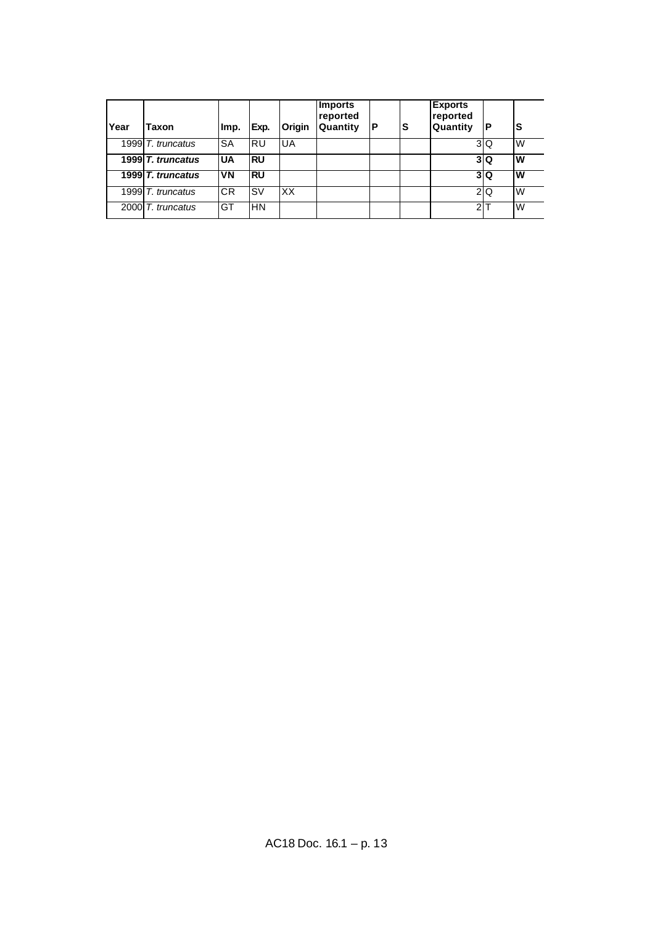| Year | Taxon             | Imp.       | Exp.       | Origin | <b>Imports</b><br>reported<br>Quantity | P | lS | <b>Exports</b><br>reported<br><b>Quantity</b> | Р               | S |
|------|-------------------|------------|------------|--------|----------------------------------------|---|----|-----------------------------------------------|-----------------|---|
|      | 1999 T. truncatus | <b>ISA</b> | IRU        | UA     |                                        |   |    |                                               | 3 <sub>Q</sub>  | W |
|      | 1999 T. truncatus | <b>UA</b>  | <b>IRU</b> |        |                                        |   |    |                                               | 3 Q             | W |
|      | 1999 T. truncatus | <b>VN</b>  | IRU        |        |                                        |   |    |                                               | 3 Q             | W |
|      | 1999 T. truncatus | <b>CR</b>  | lsv        | XX     |                                        |   |    |                                               | $2\overline{0}$ | W |
|      | 2000 T. truncatus | GT         | IHN        |        |                                        |   |    | 2 <sub>1</sub>                                |                 | W |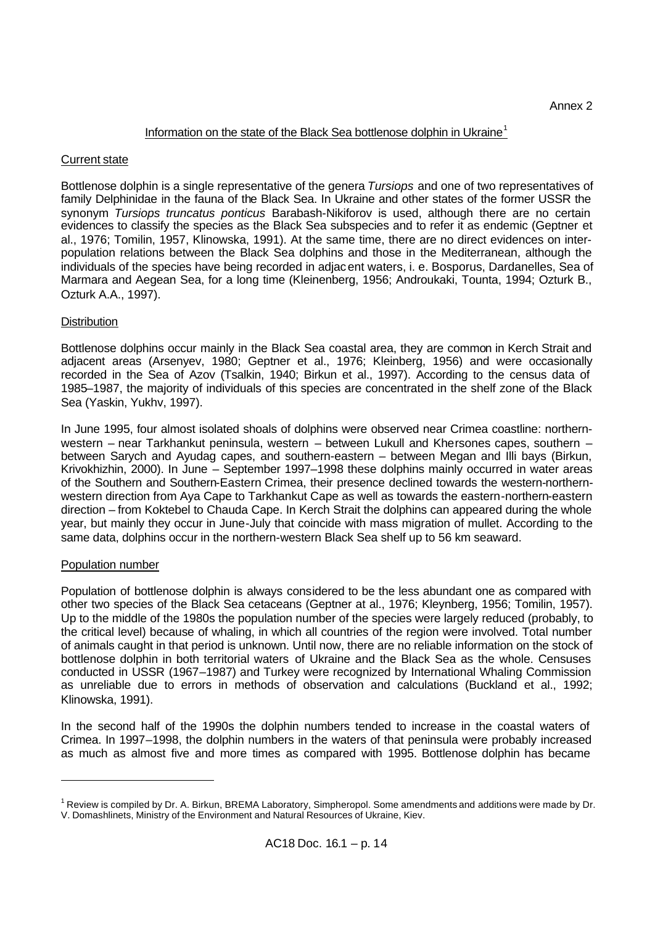## Information on the state of the Black Sea bottlenose dolphin in Ukraine<sup>1</sup>

## Current state

Bottlenose dolphin is a single representative of the genera *Tursiops* and one of two representatives of family Delphinidae in the fauna of the Black Sea. In Ukraine and other states of the former USSR the synonym *Tursiops truncatus ponticus* Barabash-Nikiforov is used, although there are no certain evidences to classify the species as the Black Sea subspecies and to refer it as endemic (Geptner et al., 1976; Tomilin, 1957, Klinowska, 1991). At the same time, there are no direct evidences on interpopulation relations between the Black Sea dolphins and those in the Mediterranean, although the individuals of the species have being recorded in adjacent waters, i. e. Bosporus, Dardanelles, Sea of Marmara and Aegean Sea, for a long time (Kleinenberg, 1956; Androukaki, Tounta, 1994; Ozturk B., Ozturk A.A., 1997).

## **Distribution**

Bottlenose dolphins occur mainly in the Black Sea coastal area, they are common in Kerch Strait and adjacent areas (Arsenyev, 1980; Geptner et al., 1976; Kleinberg, 1956) and were occasionally recorded in the Sea of Azov (Tsalkin, 1940; Birkun et al., 1997). According to the census data of 1985–1987, the majority of individuals of this species are concentrated in the shelf zone of the Black Sea (Yaskin, Yukhv, 1997).

In June 1995, four almost isolated shoals of dolphins were observed near Crimea coastline: northernwestern – near Tarkhankut peninsula, western – between Lukull and Khersones capes, southern – between Sarych and Ayudag capes, and southern-eastern – between Megan and Illi bays (Birkun, Krivokhizhin, 2000). In June – September 1997–1998 these dolphins mainly occurred in water areas of the Southern and Southern-Eastern Crimea, their presence declined towards the western-northernwestern direction from Aya Cape to Tarkhankut Cape as well as towards the eastern-northern-eastern direction – from Koktebel to Chauda Cape. In Kerch Strait the dolphins can appeared during the whole year, but mainly they occur in June-July that coincide with mass migration of mullet. According to the same data, dolphins occur in the northern-western Black Sea shelf up to 56 km seaward.

## Population number

l

Population of bottlenose dolphin is always considered to be the less abundant one as compared with other two species of the Black Sea cetaceans (Geptner at al., 1976; Kleynberg, 1956; Tomilin, 1957). Up to the middle of the 1980s the population number of the species were largely reduced (probably, to the critical level) because of whaling, in which all countries of the region were involved. Total number of animals caught in that period is unknown. Until now, there are no reliable information on the stock of bottlenose dolphin in both territorial waters of Ukraine and the Black Sea as the whole. Censuses conducted in USSR (1967–1987) and Turkey were recognized by International Whaling Commission as unreliable due to errors in methods of observation and calculations (Buckland et al., 1992; Klinowska, 1991).

In the second half of the 1990s the dolphin numbers tended to increase in the coastal waters of Crimea. In 1997–1998, the dolphin numbers in the waters of that peninsula were probably increased as much as almost five and more times as compared with 1995. Bottlenose dolphin has became

 $1$  Review is compiled by Dr. A. Birkun, BREMA Laboratory, Simpheropol. Some amendments and additions were made by Dr. V. Domashlinets, Ministry of the Environment and Natural Resources of Ukraine, Kiev.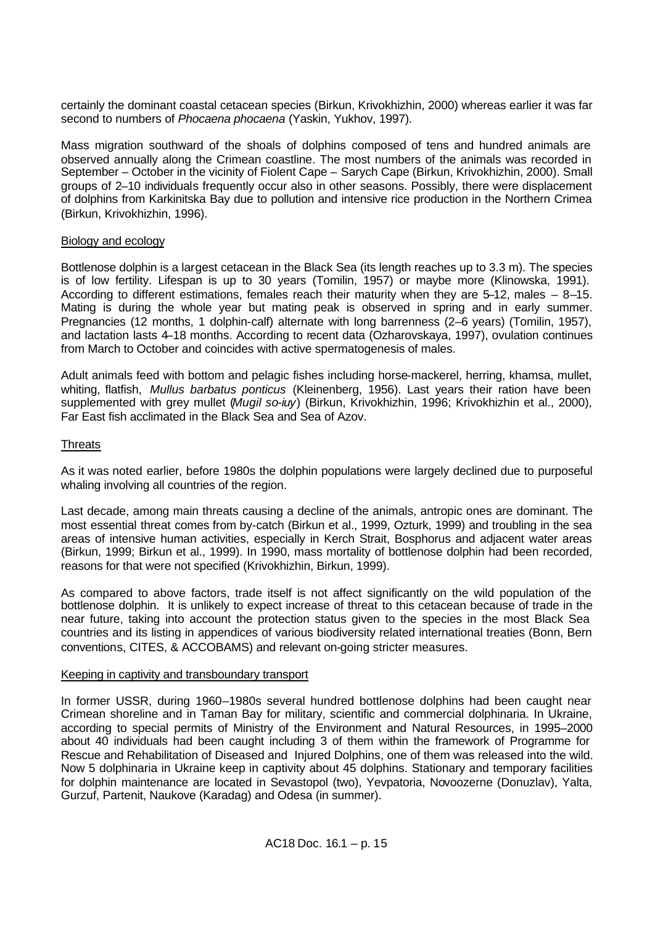certainly the dominant coastal cetacean species (Birkun, Krivokhizhin, 2000) whereas earlier it was far second to numbers of *Phocaena phocaena* (Yaskin, Yukhov, 1997).

Mass migration southward of the shoals of dolphins composed of tens and hundred animals are observed annually along the Crimean coastline. The most numbers of the animals was recorded in September – October in the vicinity of Fiolent Cape – Sarych Cape (Birkun, Krivokhizhin, 2000). Small groups of 2–10 individuals frequently occur also in other seasons. Possibly, there were displacement of dolphins from Karkinitska Bay due to pollution and intensive rice production in the Northern Crimea (Birkun, Krivokhizhin, 1996).

## Biology and ecology

Bottlenose dolphin is a largest cetacean in the Black Sea (its length reaches up to 3.3 m). The species is of low fertility. Lifespan is up to 30 years (Tomilin, 1957) or maybe more (Klinowska, 1991). According to different estimations, females reach their maturity when they are 5–12, males – 8–15. Mating is during the whole year but mating peak is observed in spring and in early summer. Pregnancies (12 months, 1 dolphin-calf) alternate with long barrenness (2–6 years) (Tomilin, 1957), and lactation lasts 4–18 months. According to recent data (Ozharovskaya, 1997), ovulation continues from March to October and coincides with active spermatogenesis of males.

Adult animals feed with bottom and pelagic fishes including horse-mackerel, herring, khamsa, mullet, whiting, flatfish, *Mullus barbatus ponticus* (Kleinenberg, 1956). Last years their ration have been supplemented with grey mullet (*Mugil so-iuy*) (Birkun, Krivokhizhin, 1996; Krivokhizhin et al., 2000), Far East fish acclimated in the Black Sea and Sea of Azov.

# **Threats**

As it was noted earlier, before 1980s the dolphin populations were largely declined due to purposeful whaling involving all countries of the region.

Last decade, among main threats causing a decline of the animals, antropic ones are dominant. The most essential threat comes from by-catch (Birkun et al., 1999, Ozturk, 1999) and troubling in the sea areas of intensive human activities, especially in Kerch Strait, Bosphorus and adjacent water areas (Birkun, 1999; Birkun et al., 1999). In 1990, mass mortality of bottlenose dolphin had been recorded, reasons for that were not specified (Krivokhizhin, Birkun, 1999).

As compared to above factors, trade itself is not affect significantly on the wild population of the bottlenose dolphin. It is unlikely to expect increase of threat to this cetacean because of trade in the near future, taking into account the protection status given to the species in the most Black Sea countries and its listing in appendices of various biodiversity related international treaties (Bonn, Bern conventions, CITES, & ACCOBAMS) and relevant on-going stricter measures.

## Keeping in captivity and transboundary transport

In former USSR, during 1960–1980s several hundred bottlenose dolphins had been caught near Crimean shoreline and in Taman Bay for military, scientific and commercial dolphinaria. In Ukraine, according to special permits of Ministry of the Environment and Natural Resources, in 1995–2000 about 40 individuals had been caught including 3 of them within the framework of Programme for Rescue and Rehabilitation of Diseased and Injured Dolphins, one of them was released into the wild. Now 5 dolphinaria in Ukraine keep in captivity about 45 dolphins. Stationary and temporary facilities for dolphin maintenance are located in Sevastopol (two), Yevpatoria, Novoozerne (Donuzlav), Yalta, Gurzuf, Partenit, Naukove (Karadag) and Odesa (in summer).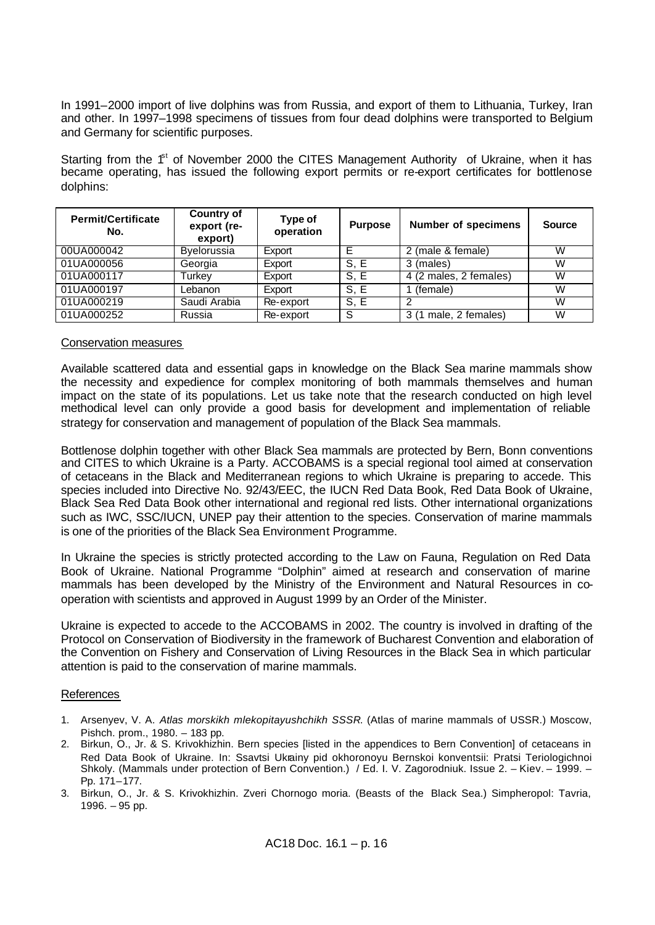In 1991–2000 import of live dolphins was from Russia, and export of them to Lithuania, Turkey, Iran and other. In 1997–1998 specimens of tissues from four dead dolphins were transported to Belgium and Germany for scientific purposes.

Starting from the  $f<sup>st</sup>$  of November 2000 the CITES Management Authority of Ukraine, when it has became operating, has issued the following export permits or re-export certificates for bottlenose dolphins:

| <b>Permit/Certificate</b><br>No. | <b>Country of</b><br>export (re-<br>export) | Type of<br>operation | <b>Purpose</b> | <b>Number of specimens</b> | <b>Source</b> |
|----------------------------------|---------------------------------------------|----------------------|----------------|----------------------------|---------------|
| 00UA000042                       | Byelorussia                                 | Export               | E              | 2 (male & female)          | W             |
| 01UA000056                       | Georgia                                     | Export               | S.E            | 3 (males)                  | W             |
| 01UA000117                       | Turkev                                      | Export               | S.E            | 4 (2 males, 2 females)     | W             |
| 01UA000197                       | Lebanon                                     | Export               | S.E            | (female)                   | W             |
| 01UA000219                       | Saudi Arabia                                | Re-export            | S, E           |                            | W             |
| 01UA000252                       | Russia                                      | Re-export            | S              | 3 (1 male, 2 females)      | W             |

## Conservation measures

Available scattered data and essential gaps in knowledge on the Black Sea marine mammals show the necessity and expedience for complex monitoring of both mammals themselves and human impact on the state of its populations. Let us take note that the research conducted on high level methodical level can only provide a good basis for development and implementation of reliable strategy for conservation and management of population of the Black Sea mammals.

Bottlenose dolphin together with other Black Sea mammals are protected by Bern, Bonn conventions and CITES to which Ukraine is a Party. ACCOBAMS is a special regional tool aimed at conservation of cetaceans in the Black and Mediterranean regions to which Ukraine is preparing to accede. This species included into Directive No. 92/43/EEC, the IUCN Red Data Book, Red Data Book of Ukraine, Black Sea Red Data Book other international and regional red lists. Other international organizations such as IWC, SSC/IUCN, UNEP pay their attention to the species. Conservation of marine mammals is one of the priorities of the Black Sea Environment Programme.

In Ukraine the species is strictly protected according to the Law on Fauna, Regulation on Red Data Book of Ukraine. National Programme "Dolphin" aimed at research and conservation of marine mammals has been developed by the Ministry of the Environment and Natural Resources in cooperation with scientists and approved in August 1999 by an Order of the Minister.

Ukraine is expected to accede to the ACCOBAMS in 2002. The country is involved in drafting of the Protocol on Conservation of Biodiversity in the framework of Bucharest Convention and elaboration of the Convention on Fishery and Conservation of Living Resources in the Black Sea in which particular attention is paid to the conservation of marine mammals.

## References

- 1. Arsenyev, V. A. *Atlas morskikh mlekopitayushchikh SSSR*. (Atlas of marine mammals of USSR.) Moscow, Pishch. prom., 1980. – 183 pp.
- 2. Birkun, O., Jr. & S. Krivokhizhin. Bern species [listed in the appendices to Bern Convention] of cetaceans in Red Data Book of Ukraine. In: Ssavtsi Ukrainy pid okhoronoyu Bernskoi konventsii: Pratsi Teriologichnoi Shkoly. (Mammals under protection of Bern Convention.) / Ed. I. V. Zagorodniuk. Issue 2. - Kiev. - 1999. -Pp. 171–177.
- 3. Birkun, O., Jr. & S. Krivokhizhin. Zveri Chornogo moria. (Beasts of the Black Sea.) Simpheropol: Tavria, 1996. – 95 pp.